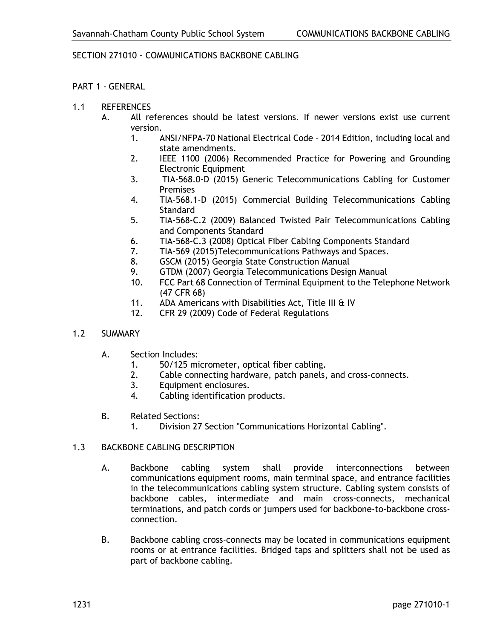## SECTION 271010 - COMMUNICATIONS BACKBONE CABLING

## PART 1 - GENERAL

- 1.1 REFERENCES
	- A. All references should be latest versions. If newer versions exist use current version.
		- 1. ANSI/NFPA-70 National Electrical Code 2014 Edition, including local and state amendments.
		- 2. IEEE 1100 (2006) Recommended Practice for Powering and Grounding Electronic Equipment
		- 3. TIA-568.0-D (2015) Generic Telecommunications Cabling for Customer Premises
		- 4. TIA-568.1-D (2015) Commercial Building Telecommunications Cabling **Standard**
		- 5. TIA-568-C.2 (2009) Balanced Twisted Pair Telecommunications Cabling and Components Standard
		- 6. TIA-568-C.3 (2008) Optical Fiber Cabling Components Standard
		- 7. TIA-569 (2015)Telecommunications Pathways and Spaces.
		- 8. GSCM (2015) Georgia State Construction Manual
		- 9. GTDM (2007) Georgia Telecommunications Design Manual
		- 10. FCC Part 68 Connection of Terminal Equipment to the Telephone Network (47 CFR 68)
		- 11. ADA Americans with Disabilities Act, Title III & IV
		- 12. CFR 29 (2009) Code of Federal Regulations
- 1.2 SUMMARY
	- A. Section Includes:
		- 1. 50/125 micrometer, optical fiber cabling.
		- 2. Cable connecting hardware, patch panels, and cross-connects.
		- 3. Equipment enclosures.
		- 4. Cabling identification products.
	- B. Related Sections:
		- 1. Division 27 Section "Communications Horizontal Cabling".

### 1.3 BACKBONE CABLING DESCRIPTION

- A. Backbone cabling system shall provide interconnections between communications equipment rooms, main terminal space, and entrance facilities in the telecommunications cabling system structure. Cabling system consists of backbone cables, intermediate and main cross-connects, mechanical terminations, and patch cords or jumpers used for backbone-to-backbone crossconnection.
- B. Backbone cabling cross-connects may be located in communications equipment rooms or at entrance facilities. Bridged taps and splitters shall not be used as part of backbone cabling.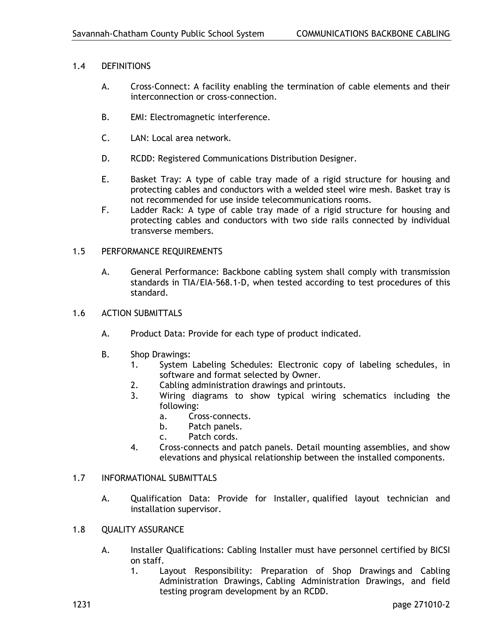## 1.4 DEFINITIONS

- A. Cross-Connect: A facility enabling the termination of cable elements and their interconnection or cross-connection.
- B. EMI: Electromagnetic interference.
- C. LAN: Local area network.
- D. RCDD: Registered Communications Distribution Designer.
- E. Basket Tray: A type of cable tray made of a rigid structure for housing and protecting cables and conductors with a welded steel wire mesh. Basket tray is not recommended for use inside telecommunications rooms.
- F. Ladder Rack: A type of cable tray made of a rigid structure for housing and protecting cables and conductors with two side rails connected by individual transverse members.

## 1.5 PERFORMANCE REQUIREMENTS

- A. General Performance: Backbone cabling system shall comply with transmission standards in TIA/EIA-568.1-D, when tested according to test procedures of this standard.
- 1.6 ACTION SUBMITTALS
	- A. Product Data: Provide for each type of product indicated.
	- B. Shop Drawings:
		- 1. System Labeling Schedules: Electronic copy of labeling schedules, in software and format selected by Owner.
		- 2. Cabling administration drawings and printouts.<br>3. Wiring diagrams to show typical wiring so
			- Wiring diagrams to show typical wiring schematics including the following:
				- a. Cross-connects.
				- b. Patch panels.
				- c. Patch cords.
		- 4. Cross-connects and patch panels. Detail mounting assemblies, and show elevations and physical relationship between the installed components.

#### 1.7 INFORMATIONAL SUBMITTALS

- A. Qualification Data: Provide for Installer, qualified layout technician and installation supervisor.
- 1.8 QUALITY ASSURANCE
	- A. Installer Qualifications: Cabling Installer must have personnel certified by BICSI on staff.
		- 1. Layout Responsibility: Preparation of Shop Drawings and Cabling Administration Drawings, Cabling Administration Drawings, and field testing program development by an RCDD.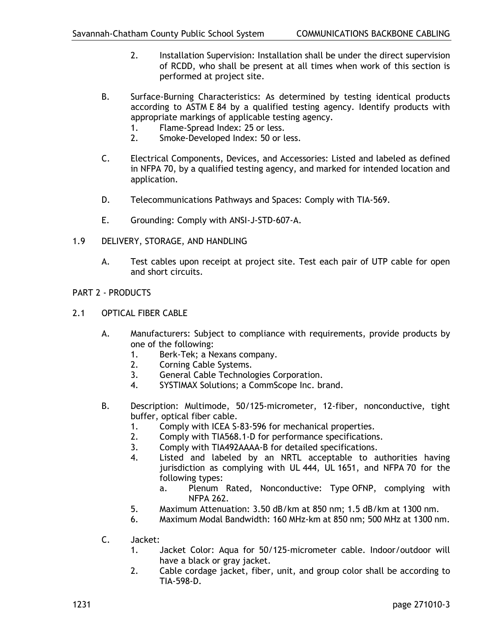- 2. Installation Supervision: Installation shall be under the direct supervision of RCDD, who shall be present at all times when work of this section is performed at project site.
- B. Surface-Burning Characteristics: As determined by testing identical products according to ASTM E 84 by a qualified testing agency. Identify products with appropriate markings of applicable testing agency.
	- 1. Flame-Spread Index: 25 or less.<br>2. Smoke-Developed Index: 50 or l
	- Smoke-Developed Index: 50 or less.
- C. Electrical Components, Devices, and Accessories: Listed and labeled as defined in NFPA 70, by a qualified testing agency, and marked for intended location and application.
- D. Telecommunications Pathways and Spaces: Comply with TIA-569.
- E. Grounding: Comply with ANSI-J-STD-607-A.
- 1.9 DELIVERY, STORAGE, AND HANDLING
	- A. Test cables upon receipt at project site. Test each pair of UTP cable for open and short circuits.
- PART 2 PRODUCTS
- 2.1 OPTICAL FIBER CABLE
	- A. Manufacturers: Subject to compliance with requirements, provide products by one of the following:
		- 1. Berk-Tek; a Nexans company.
		- 2. Corning Cable Systems.
		- 3. General Cable Technologies Corporation.
		- 4. SYSTIMAX Solutions; a CommScope Inc. brand.
	- B. Description: Multimode, 50/125-micrometer, 12-fiber, nonconductive, tight buffer, optical fiber cable.
		- 1. Comply with ICEA S-83-596 for mechanical properties.
		- 2. Comply with TIA568.1-D for performance specifications.
		- 3. Comply with TIA492AAAA-B for detailed specifications.
		- 4. Listed and labeled by an NRTL acceptable to authorities having jurisdiction as complying with UL 444, UL 1651, and NFPA 70 for the following types:
			- a. Plenum Rated, Nonconductive: Type OFNP, complying with NFPA 262.
		- 5. Maximum Attenuation: 3.50 dB/km at 850 nm; 1.5 dB/km at 1300 nm.
		- 6. Maximum Modal Bandwidth: 160 MHz-km at 850 nm; 500 MHz at 1300 nm.
	- C. Jacket:
		- 1. Jacket Color: Aqua for 50/125-micrometer cable. Indoor/outdoor will have a black or gray jacket.
		- 2. Cable cordage jacket, fiber, unit, and group color shall be according to TIA-598-D.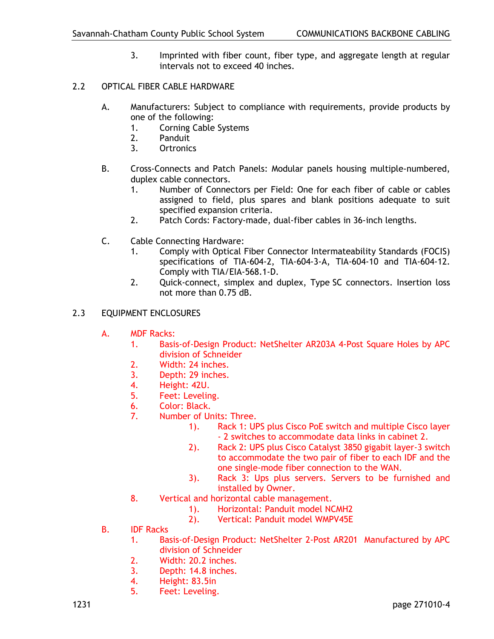- 3. Imprinted with fiber count, fiber type, and aggregate length at regular intervals not to exceed 40 inches.
- 2.2 OPTICAL FIBER CABLE HARDWARE
	- A. Manufacturers: Subject to compliance with requirements, provide products by one of the following:
		- 1. Corning Cable Systems
		- 2. Panduit
		- 3. Ortronics
	- B. Cross-Connects and Patch Panels: Modular panels housing multiple-numbered, duplex cable connectors.
		- 1. Number of Connectors per Field: One for each fiber of cable or cables assigned to field, plus spares and blank positions adequate to suit specified expansion criteria.
		- 2. Patch Cords: Factory-made, dual-fiber cables in 36-inch lengths.
	- C. Cable Connecting Hardware:
		- 1. Comply with Optical Fiber Connector Intermateability Standards (FOCIS) specifications of TIA-604-2, TIA-604-3-A, TIA-604-10 and TIA-604-12. Comply with TIA/EIA-568.1-D.
		- 2. Quick-connect, simplex and duplex, Type SC connectors. Insertion loss not more than 0.75 dB.
- 2.3 EQUIPMENT ENCLOSURES
	- A. MDF Racks:
		- 1. Basis-of-Design Product: NetShelter AR203A 4-Post Square Holes by APC division of Schneider
		- 2. Width: 24 inches.
		- 3. Depth: 29 inches.
		- 4. Height: 42U.<br>5. Feet: Levelin
		- Feet: Leveling.
		- 6. Color: Black.
		- 7. Number of Units: Three.
			- 1). Rack 1: UPS plus Cisco PoE switch and multiple Cisco layer - 2 switches to accommodate data links in cabinet 2.
			- 2). Rack 2: UPS plus Cisco Catalyst 3850 gigabit layer-3 switch to accommodate the two pair of fiber to each IDF and the one single-mode fiber connection to the WAN.
			- 3). Rack 3: Ups plus servers. Servers to be furnished and installed by Owner.
		- 8. Vertical and horizontal cable management.
			- 1). Horizontal: Panduit model NCMH2<br>2). Vertical: Panduit model WMPV45E
			- 2). Vertical: Panduit model WMPV45E
	- B. IDF Racks
		- 1. Basis-of-Design Product: NetShelter 2-Post AR201 Manufactured by APC division of Schneider
		- 2. Width: 20.2 inches.
		- 3. Depth: 14.8 inches.
		- 4. Height: 83.5in
		- 5. Feet: Leveling.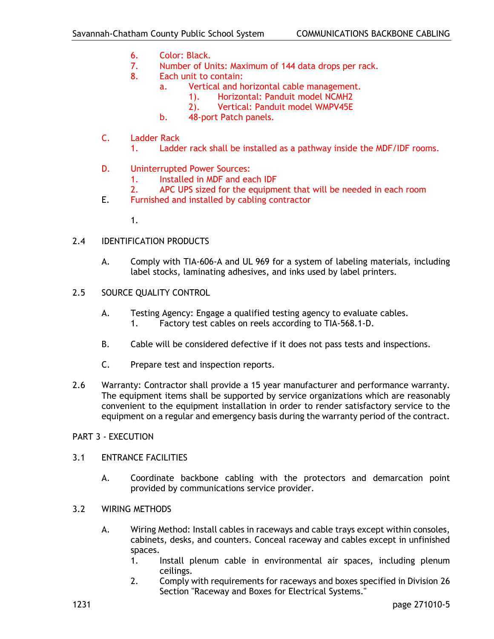- 6. Color: Black.
- 7. Number of Units: Maximum of 144 data drops per rack.
- 8. Each unit to contain:
	- a. Vertical and horizontal cable management.
		- 1). Horizontal: Panduit model NCMH2
		- 2). Vertical: Panduit model WMPV45E
	- b. 48-port Patch panels.
- C. Ladder Rack
	- 1. Ladder rack shall be installed as a pathway inside the MDF/IDF rooms.
- D. Uninterrupted Power Sources:
	- 1. Installed in MDF and each IDF
	- 2. APC UPS sized for the equipment that will be needed in each room
- E. Furnished and installed by cabling contractor
	- 1.
- 2.4 IDENTIFICATION PRODUCTS
	- A. Comply with TIA-606-A and UL 969 for a system of labeling materials, including label stocks, laminating adhesives, and inks used by label printers.
- 2.5 SOURCE QUALITY CONTROL
	- A. Testing Agency: Engage a qualified testing agency to evaluate cables. 1. Factory test cables on reels according to TIA-568.1-D.
	- B. Cable will be considered defective if it does not pass tests and inspections.
	- C. Prepare test and inspection reports.
- 2.6 Warranty: Contractor shall provide a 15 year manufacturer and performance warranty. The equipment items shall be supported by service organizations which are reasonably convenient to the equipment installation in order to render satisfactory service to the equipment on a regular and emergency basis during the warranty period of the contract.

#### PART 3 - EXECUTION

- 3.1 ENTRANCE FACILITIES
	- A. Coordinate backbone cabling with the protectors and demarcation point provided by communications service provider.
- 3.2 WIRING METHODS
	- A. Wiring Method: Install cables in raceways and cable trays except within consoles, cabinets, desks, and counters. Conceal raceway and cables except in unfinished spaces.
		- 1. Install plenum cable in environmental air spaces, including plenum ceilings.
		- 2. Comply with requirements for raceways and boxes specified in Division 26 Section "Raceway and Boxes for Electrical Systems."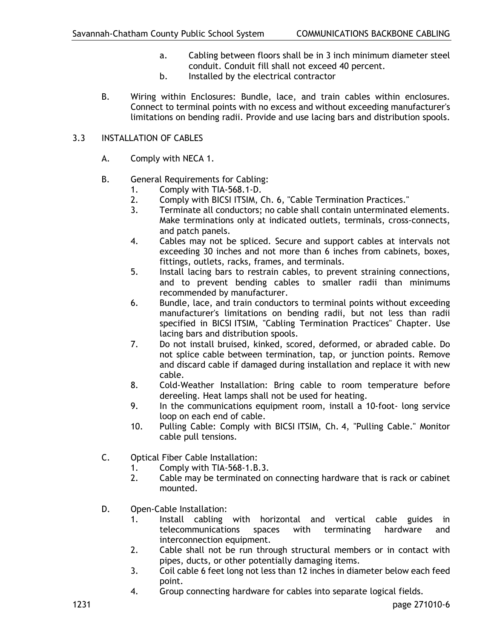- a. Cabling between floors shall be in 3 inch minimum diameter steel conduit. Conduit fill shall not exceed 40 percent.
- b. Installed by the electrical contractor
- B. Wiring within Enclosures: Bundle, lace, and train cables within enclosures. Connect to terminal points with no excess and without exceeding manufacturer's limitations on bending radii. Provide and use lacing bars and distribution spools.

# 3.3 INSTALLATION OF CABLES

- A. Comply with NECA 1.
- B. General Requirements for Cabling:
	- 1. Comply with TIA-568.1-D.<br>2. Comply with BICSI ITSIM, 0
	- 2. Comply with BICSI ITSIM, Ch. 6, "Cable Termination Practices."
	- 3. Terminate all conductors; no cable shall contain unterminated elements. Make terminations only at indicated outlets, terminals, cross-connects, and patch panels.
	- 4. Cables may not be spliced. Secure and support cables at intervals not exceeding 30 inches and not more than 6 inches from cabinets, boxes, fittings, outlets, racks, frames, and terminals.
	- 5. Install lacing bars to restrain cables, to prevent straining connections, and to prevent bending cables to smaller radii than minimums recommended by manufacturer.
	- 6. Bundle, lace, and train conductors to terminal points without exceeding manufacturer's limitations on bending radii, but not less than radii specified in BICSI ITSIM, "Cabling Termination Practices" Chapter. Use lacing bars and distribution spools.
	- 7. Do not install bruised, kinked, scored, deformed, or abraded cable. Do not splice cable between termination, tap, or junction points. Remove and discard cable if damaged during installation and replace it with new cable.
	- 8. Cold-Weather Installation: Bring cable to room temperature before dereeling. Heat lamps shall not be used for heating.
	- 9. In the communications equipment room, install a 10-foot- long service loop on each end of cable.
	- 10. Pulling Cable: Comply with BICSI ITSIM, Ch. 4, "Pulling Cable." Monitor cable pull tensions.
- C. Optical Fiber Cable Installation:
	- 1. Comply with TIA-568-1.B.3.
	- 2. Cable may be terminated on connecting hardware that is rack or cabinet mounted.
- D. Open-Cable Installation:
	- 1. Install cabling with horizontal and vertical cable guides in telecommunications spaces with terminating hardware and interconnection equipment.
	- 2. Cable shall not be run through structural members or in contact with pipes, ducts, or other potentially damaging items.
	- 3. Coil cable 6 feet long not less than 12 inches in diameter below each feed point.
	- 4. Group connecting hardware for cables into separate logical fields.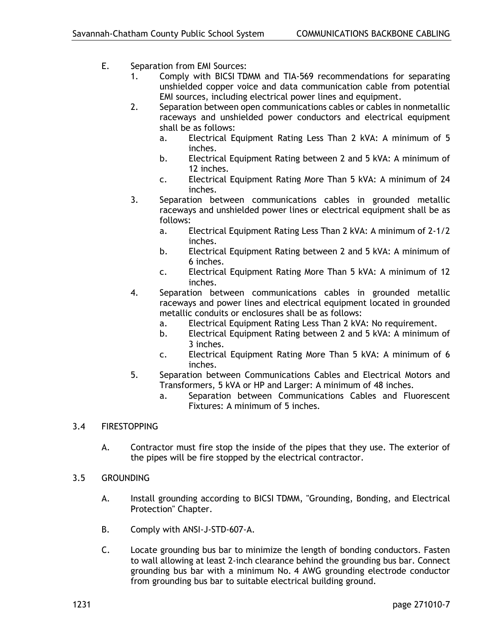- E. Separation from EMI Sources:
	- 1. Comply with BICSI TDMM and TIA-569 recommendations for separating unshielded copper voice and data communication cable from potential EMI sources, including electrical power lines and equipment.
	- 2. Separation between open communications cables or cables in nonmetallic raceways and unshielded power conductors and electrical equipment shall be as follows:
		- a. Electrical Equipment Rating Less Than 2 kVA: A minimum of 5 inches.
		- b. Electrical Equipment Rating between 2 and 5 kVA: A minimum of 12 inches.
		- c. Electrical Equipment Rating More Than 5 kVA: A minimum of 24 inches.
	- 3. Separation between communications cables in grounded metallic raceways and unshielded power lines or electrical equipment shall be as follows:
		- a. Electrical Equipment Rating Less Than 2 kVA: A minimum of 2-1/2 inches.
		- b. Electrical Equipment Rating between 2 and 5 kVA: A minimum of 6 inches.
		- c. Electrical Equipment Rating More Than 5 kVA: A minimum of 12 inches.
	- 4. Separation between communications cables in grounded metallic raceways and power lines and electrical equipment located in grounded metallic conduits or enclosures shall be as follows:
		- a. Electrical Equipment Rating Less Than 2 kVA: No requirement.
		- b. Electrical Equipment Rating between 2 and 5 kVA: A minimum of 3 inches.
		- c. Electrical Equipment Rating More Than 5 kVA: A minimum of 6 inches.
	- 5. Separation between Communications Cables and Electrical Motors and Transformers, 5 kVA or HP and Larger: A minimum of 48 inches.
		- a. Separation between Communications Cables and Fluorescent Fixtures: A minimum of 5 inches.

# 3.4 FIRESTOPPING

- A. Contractor must fire stop the inside of the pipes that they use. The exterior of the pipes will be fire stopped by the electrical contractor.
- 3.5 GROUNDING
	- A. Install grounding according to BICSI TDMM, "Grounding, Bonding, and Electrical Protection" Chapter.
	- B. Comply with ANSI-J-STD-607-A.
	- C. Locate grounding bus bar to minimize the length of bonding conductors. Fasten to wall allowing at least 2-inch clearance behind the grounding bus bar. Connect grounding bus bar with a minimum No. 4 AWG grounding electrode conductor from grounding bus bar to suitable electrical building ground.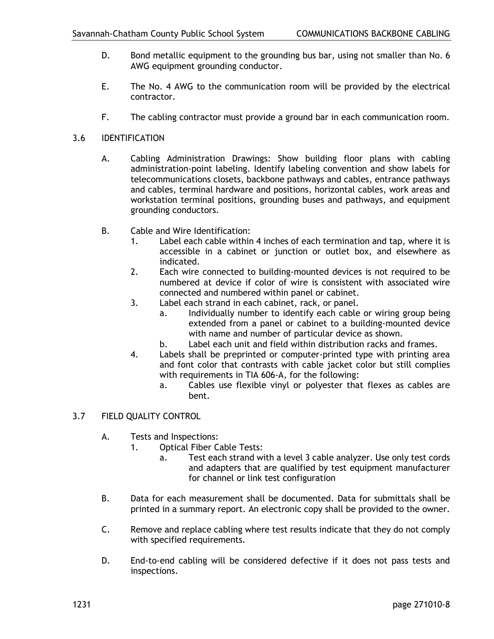- D. Bond metallic equipment to the grounding bus bar, using not smaller than No. 6 AWG equipment grounding conductor.
- E. The No. 4 AWG to the communication room will be provided by the electrical contractor.
- F. The cabling contractor must provide a ground bar in each communication room.
- 3.6 IDENTIFICATION
	- A. Cabling Administration Drawings: Show building floor plans with cabling administration-point labeling. Identify labeling convention and show labels for telecommunications closets, backbone pathways and cables, entrance pathways and cables, terminal hardware and positions, horizontal cables, work areas and workstation terminal positions, grounding buses and pathways, and equipment grounding conductors.
	- B. Cable and Wire Identification:
		- 1. Label each cable within 4 inches of each termination and tap, where it is accessible in a cabinet or junction or outlet box, and elsewhere as indicated.
		- 2. Each wire connected to building-mounted devices is not required to be numbered at device if color of wire is consistent with associated wire connected and numbered within panel or cabinet.
		- 3. Label each strand in each cabinet, rack, or panel.
			- a. Individually number to identify each cable or wiring group being extended from a panel or cabinet to a building-mounted device with name and number of particular device as shown.
			- b. Label each unit and field within distribution racks and frames.
		- 4. Labels shall be preprinted or computer-printed type with printing area and font color that contrasts with cable jacket color but still complies with requirements in TIA 606-A, for the following:
			- a. Cables use flexible vinyl or polyester that flexes as cables are bent.

## 3.7 FIELD QUALITY CONTROL

- A. Tests and Inspections:
	- 1. Optical Fiber Cable Tests:
		- a. Test each strand with a level 3 cable analyzer. Use only test cords and adapters that are qualified by test equipment manufacturer for channel or link test configuration
- B. Data for each measurement shall be documented. Data for submittals shall be printed in a summary report. An electronic copy shall be provided to the owner.
- C. Remove and replace cabling where test results indicate that they do not comply with specified requirements.
- D. End-to-end cabling will be considered defective if it does not pass tests and inspections.